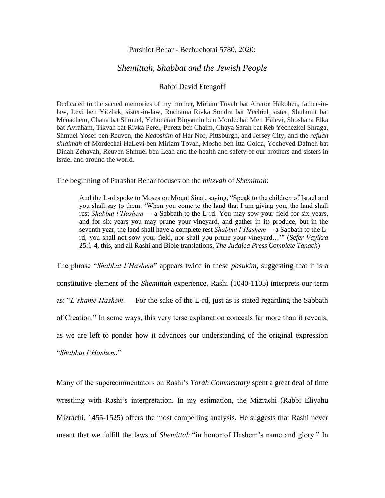## Parshiot Behar - Bechuchotai 5780, 2020:

## *Shemittah, Shabbat and the Jewish People*

## Rabbi David Etengoff

Dedicated to the sacred memories of my mother, Miriam Tovah bat Aharon Hakohen, father-inlaw, Levi ben Yitzhak, sister-in-law, Ruchama Rivka Sondra bat Yechiel, sister, Shulamit bat Menachem, Chana bat Shmuel, Yehonatan Binyamin ben Mordechai Meir Halevi, Shoshana Elka bat Avraham, Tikvah bat Rivka Perel, Peretz ben Chaim, Chaya Sarah bat Reb Yechezkel Shraga, Shmuel Yosef ben Reuven, the *Kedoshim* of Har Nof, Pittsburgh, and Jersey City, and the *refuah shlaimah* of Mordechai HaLevi ben Miriam Tovah, Moshe ben Itta Golda, Yocheved Dafneh bat Dinah Zehavah, Reuven Shmuel ben Leah and the health and safety of our brothers and sisters in Israel and around the world.

## The beginning of Parashat Behar focuses on the *mitzvah* of *Shemittah*:

And the L-rd spoke to Moses on Mount Sinai, saying, "Speak to the children of Israel and you shall say to them: 'When you come to the land that I am giving you, the land shall rest *Shabbat l'Hashem —* a Sabbath to the L-rd. You may sow your field for six years, and for six years you may prune your vineyard, and gather in its produce, but in the seventh year, the land shall have a complete rest *Shabbat l'Hashem —* a Sabbath to the Lrd; you shall not sow your field, nor shall you prune your vineyard…'" (*Sefer Vayikra*  25:1-4, this, and all Rashi and Bible translations, *The Judaica Press Complete Tanach*)

The phrase "*Shabbat l'Hashem*" appears twice in these *pasukim*, suggesting that it is a constitutive element of the *Shemittah* experience. Rashi (1040-1105) interprets our term as: "*L'shame Hashem* — For the sake of the L-rd, just as is stated regarding the Sabbath of Creation." In some ways, this very terse explanation conceals far more than it reveals, as we are left to ponder how it advances our understanding of the original expression "*Shabbat l'Hashem*."

Many of the supercommentators on Rashi's *Torah Commentary* spent a great deal of time wrestling with Rashi's interpretation. In my estimation, the Mizrachi (Rabbi Eliyahu Mizrachi, 1455-1525) offers the most compelling analysis. He suggests that Rashi never meant that we fulfill the laws of *Shemittah* "in honor of Hashem's name and glory." In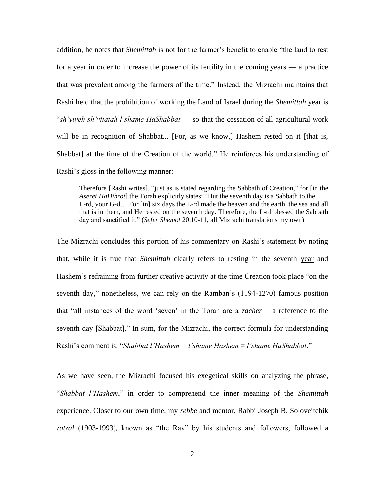addition, he notes that *Shemittah* is not for the farmer's benefit to enable "the land to rest for a year in order to increase the power of its fertility in the coming years — a practice that was prevalent among the farmers of the time." Instead, the Mizrachi maintains that Rashi held that the prohibition of working the Land of Israel during the *Shemittah* year is "*sh'yiyeh sh'vitatah l'shame HaShabbat* — so that the cessation of all agricultural work will be in recognition of Shabbat... [For, as we know,] Hashem rested on it [that is, Shabbat] at the time of the Creation of the world." He reinforces his understanding of Rashi's gloss in the following manner:

Therefore [Rashi writes], "just as is stated regarding the Sabbath of Creation," for [in the *Aseret HaDibrot*] the Torah explicitly states: "But the seventh day is a Sabbath to the L-rd, your G-d… For [in] six days the L-rd made the heaven and the earth, the sea and all that is in them, and He rested on the seventh day. Therefore, the L-rd blessed the Sabbath day and sanctified it." (*Sefer Shemot* 20:10-11, all Mizrachi translations my own)

The Mizrachi concludes this portion of his commentary on Rashi's statement by noting that, while it is true that *Shemittah* clearly refers to resting in the seventh year and Hashem's refraining from further creative activity at the time Creation took place "on the seventh day," nonetheless, we can rely on the Ramban's (1194-1270) famous position that "all instances of the word 'seven' in the Torah are a *zacher* —a reference to the seventh day [Shabbat]." In sum, for the Mizrachi, the correct formula for understanding Rashi's comment is: "*Shabbat l'Hashem = l'shame Hashem* = *l'shame HaShabbat*."

As we have seen, the Mizrachi focused his exegetical skills on analyzing the phrase, "*Shabbat l'Hashem*," in order to comprehend the inner meaning of the *Shemittah*  experience. Closer to our own time, my *rebbe* and mentor, Rabbi Joseph B. Soloveitchik *zatzal* (1903-1993), known as "the Rav" by his students and followers, followed a